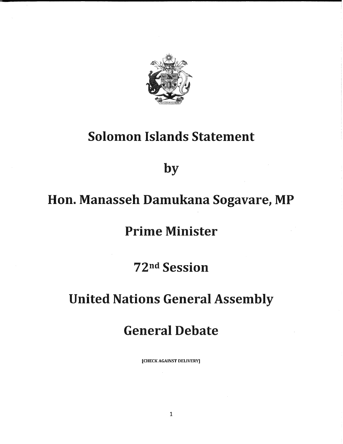

## Solomon Islands Statement

by

# Hon. Manasseh Damukana Sogavare, MP

### Prime Minister

72<sup>nd</sup> Session

## United Nations General Assembly

### General Debate

[CHECK AGAINST DELIVERY]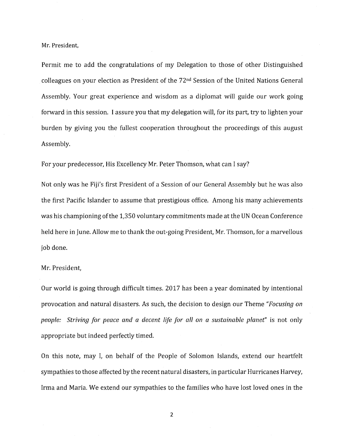#### Mr. President,

Permit me to add the congratulations of my Delegation to those of other Distinguished colleagues on your election as President of the 72nd Session of the United Nations General Assembly. Your great experience and wisdom as a diplomat will guide our work going forward in this session. I assure you that my delegation will, for its part, try to lighten your burden by giving you the fullest cooperation throughout the proceedings of this august Assembly.

For your predecessor, His Excellency Mr. Peter Thomson, what can I say?

Not only was he Fiji's first President of a Session of our General Assembly but he was also the first Pacific Islander to assume that prestigious office. Among his many achievements was his championing of the 1,350 voluntary commitments made at the UN Ocean Conference held here in June. Allow me to thank the out-going President, Mr. Thomson, for a marvellous job done.

#### Mr. President,

Our world is going through difficult times. 2017 has been a year dominated by intentional provocation and natural disasters. As such, the decision to design our Theme "Focusing on people: Striving for peace and a decent life for all on a sustainable planet' is not only appropriate but indeed perfectly timed.

On this note, may I, on behalf of the People of Solomon Islands, extend our heartfelt sympathies to those affected by the recent natural disasters, in particular Hurricanes Harvey, Irma and Maria, We extend our sympathies to the families who have lost loved ones in the

 $\overline{2}$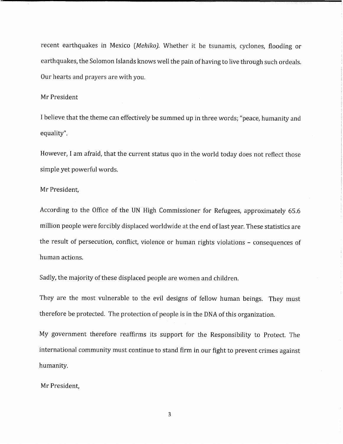recent earthquakes in Mexico (Mehiko). Whether it be tsunamis, cyclones, flooding or earthquakes, the Solomon Islands knows well the pain of having to live through such ordeals. Our hearts and prayers are with you.

#### Mr President

I believe that the theme can effectively be summed up in three words; "peace, humanity and equality".

However, I am afraid, that the current status quo in the world today does not reflect those simple yet powerful words.

#### Mr President,

According to the Office of the UN High Commissioner for Refugees, approximately 65.6 million people were forcibly displaced worldwide at the end of last year. These statistics are the result of persecution, conflict, violence or human rights violations - consequences of human actions.

Sadly, the majority of these displaced people are women and children.

They are the most vulnerable to the evil designs of fellow human beings. They must therefore be protected. The protection of people is in the DNA of this organization.

My government therefore reaffirms its support for the Responsibility to Protect. The international community must continue to stand firm in our fight to prevent crimes against humanity.

Mr President,

 $\overline{3}$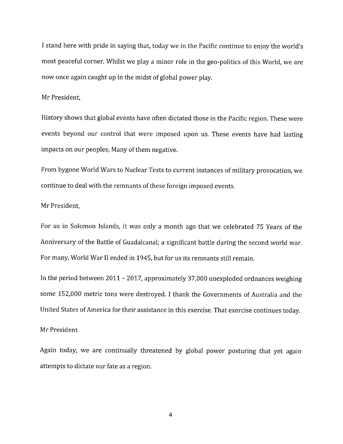I stand here with pride in saying that, today we in the Pacific continue to enjoy the world's most peaceful corner. Whilst we play a minor role in the geo-politics of this World, we are now once again caught up in the midst of global power play.

#### Mr President,

History shows that global events have often dictated those in the Pacific region. These were events beyond our control that were imposed upon us. These events have had lasting impacts on our peoples; Many of them negative.

From bygone World Wars to Nuclear Tests to current instances of military provocation, we continue to deal with the remnants of these foreign imposed events.

#### Mr President,

For us in Solomon Islands, it was only a month ago that we celebrated 75 Years of the Anniversary of the Battle of Guadalcanal; a significant battle during the second world war. For many, World War II ended in 1945, but for us its remnants still remain.

In the period between 2011 - 2017, approximately 37,000 unexploded ordnances weighing some 152,000 metric tons were destroyed. I thank the Governments of Australia and the United States of America for their assistance in this exercise. That exercise continues today.

### Mr President

Again today, we are continually threatened by global power posturing that yet againattempts to dictate our fate as a region.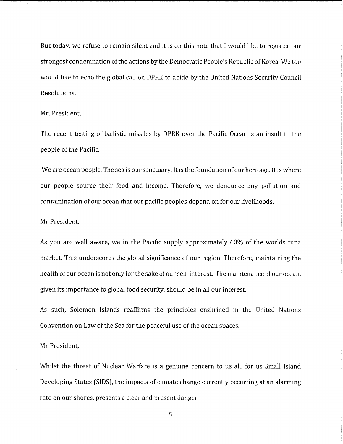But today, we refuse to remain silent and it is on this note that I would like to register our strongest condemnation of the actions by the Democratic People's Republic of Korea. We too would like to echo the global call on DPRK to abide by the United Nations Security Council Resolutions.

#### Mr. President,

The recent testing of ballistic missiles by DPRK over the Pacific Ocean is an insult to the people of the Pacific.

We are ocean people. The sea is our sanctuary. It is the foundation of our heritage. It is where our people source their food and income. Therefore, we denounce any pollution and contamination of our ocean that our pacific peoples depend on for our livelihoods.

#### Mr President,

As you are well aware, we in the Pacific supply approximately 60% of the worlds tuna market. This underscores the global significance of our region. Therefore, maintaining the health of our ocean is not only for the sake of our self-interest. The maintenance of our ocean, given its importance to global food security, should be in all our interest.

As such, Solomon Islands reaffirms the principles enshrined in the United Nations Convention on Law of the Sea for the peaceful use of the ocean spaces.

### Mr President,

Whilst the threat of Nuclear Warfare is a genuine concern to us all, for us Small Island Developing States (SIDS), the impacts of climate change currently occurring at an alarming rate on our shores, presents a clear and present danger.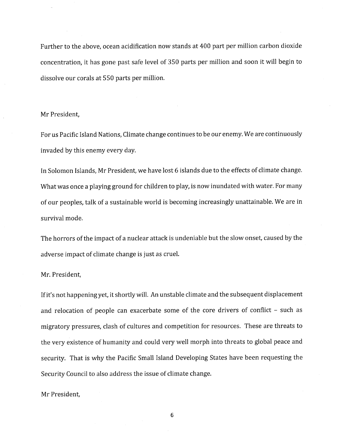Further to the above, ocean acidification now stands at 400 part per million carbon dioxide concentration, it has gone past safe level of 350 parts per million and soon it will begin to dissolve our corals at 550 parts per million.

#### Mr President,

For us Pacific Island Nations, Climate change continues to be our enemy. We are continuously invaded by this enemy every day.

In Solomon Islands, Mr President, we have lost 6 islands due to the effects of climate change. What was once a playing ground for children to play, is now inundated with water. For many of our peoples, talk of a sustainable world is becoming increasingly unattainable. We are in survival mode.

The horrors of the impact of a nuclear attack is undeniable but the slow onset, caused by the adverse impact of climate change is just as cruel.

Mr. President,

If it's not happening yet, it shortly will. An unstable climate and the subsequent displacement and relocation of people can exacerbate some of the core drivers of conflict - such as migratory pressures, clash of cultures and competition for resources. These are threats to the very existence of humanity and could very well morph into threats to global peace and security. That is why the Pacific Small Island Developing States have been requesting the Security Council to also address the issue of climate change.

#### Mr President,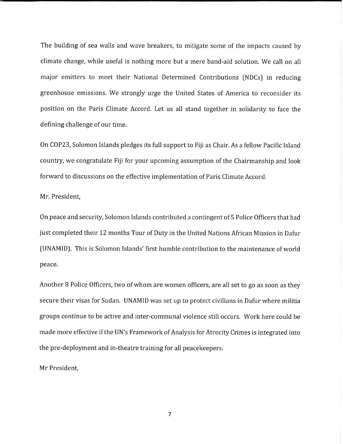The building of sea walls and wave breakers, to mitigate some of the impacts caused by climate change, while useful is nothing more but a mere band-aid solution. We call on all major emitters to meet their National Determined Contributions (NDCs) in reducing greenhouse emissions. We strongly urge the United States of America to reconsider its position on the Paris Climate Accord. Let us all stand together in solidarity to face the defining challenge of our time.

On COP23, Solomon Islands pledges its full support to Fiji as Chair. As a fellow Pacific Island country, we congratulate Fiji for your upcoming assumption of the Chairmanship and look forward to discussions on the effective implementation of Paris Climate Accord.

Mr. President,

On peace and security, Solomon Islands contributed a contingent of 5 Police Officers that had just completed their 12 months Tour of Duty in the United Nations African Mission in Dafur (UNAMID). This is Solomon Islands' first humble contribution to the maintenance of world peace.

Another 8 Police Officers, two of whom are women officers, are all set to go as soon as they secure their visas for Sudan. UNAMID was set up to protect civilians in Dafur where militia groups continue to be active and inter-communal violence still occurs. Work here could he made more effective if the UN's Framework of Analysis for Atrocity Crimes is integrated into the pre-deployment and in-theatre training for all peacekeepers.

Mr President,

 $\overline{7}$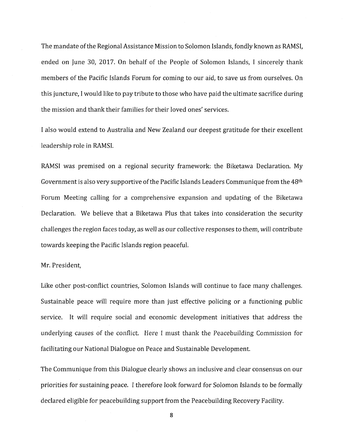The mandate of the Regional Assistance Mission to Solomon Islands, fondly known as RAMSI, ended on June 30, 2017. On behalf of the People of Solomon Islands, I sincerely thank members of the Pacific Islands Forum for coming to our aid, to save us from ourselves. On this juncture, I would like to pay tribute to those who have paid the ultimate sacrifice during the mission and thank their families for their loved ones' services.

I also would extend to Australia and New ZeaIand our deepest gratitude for their excellent leadership role in RAMSI.

RAMSI was premised on a regional security framework: the Biketawa Declaration. My Government is also very supportive of the Pacific Islands Leaders Communique from the 48th Forum Meeting calling for a comprehensive expansion and updating of the Biketawa Declaration. We believe that a Biketawa Plus that takes into consideration the security challenges the region faces today, as well as our collective responses to them, will contribute towards keeping the Pacific Islands region peaceful.

#### Mr. President,

Like other post-conflict countries, Solomon Islands will continue to face many challenges. Sustainable peace will require more than just effective policing or a functioning public service. It will require social and economic development initiatives that address the underlying causes of the conflict. Here I must thank the Peacebuilding Commission for facilitating our National Dialogue on Peace and Sustainable Development.

The Communique from this Dialogue clearly shows an inclusive and clear consensus on our priorities for sustaining peace. I therefore look forward for Solomon Islands to be formally declared eligible for peacebuilding support from the Peacebuilding Recovery Facility.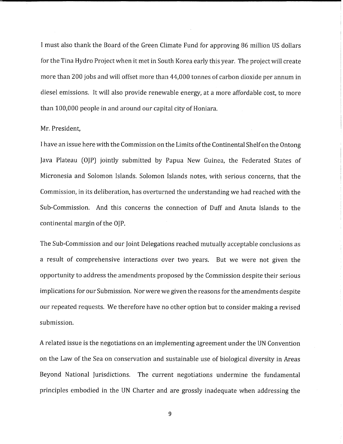I must also thank the Board of the Green Climate Fund for approving 86 million US dollars for the Tina Hydro Project when it met in South Korea early this year. The project will create more than 200 jobs and will offset more than 44,000 tonnes of carbon dioxide per annum in diesel emissions. It will also provide renewable energy, at a more affordable cost, to more than 100,000 people in and around our capital city of Honiara.

#### Mr. President,

I have an issue here with the Commission on the Limits of the Continental Shelf on the Ontong Java Plateau (OJP) jointly submitted by Papua New Guinea, the Federated States of Micronesia and Solomon Islands. Solomon Islands notes, with serious concerns, that the Commission, in its deliberation, has overturned the understanding we had reached with the Sub-Commission. And this concerns the connection of Duff and Anuta Islands to the continental margin of the OJP.

The Sub-Commission and our Joint Delegations reached mutually acceptable conclusions as a result of comprehensive interactions over two years. But we were not given the opportunity to address the amendments proposed by the Commission despite their serious implications for our Submission. Nor were we given the reasons for the amendments despite our repeated requests. We therefore have no other option but to consider making a revised submission.

A related issue is the negotiations on an implementing agreement under the UN Convention on the Law of the Sea on conservation and sustainable use of biological diversity in Areas Beyond National Jurisdictions. The current negotiations undermine the fundamental principles embodied in the UN Charter and are grossly inadequate when addressing the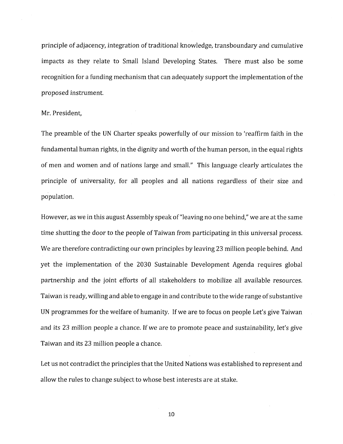principle of adjacency, integration of traditional knowledge, transboundary and cumulative impacts as they relate to Small Island Developing States. There must also be some recognition for a funding mechanism that can adequately support the implementation of the proposed instrument.

#### Mr. President,

The preamble of the UN Charter speaks powerfully of our mission to 'reaffirm faith in the fundamental human rights, in the dignity and worth of the human person, in the equal rights of men and women and of nations large and small." This language clearly articulates the principle of universality, for all peoples and all nations regardless of their size and population.

However, as we in this august Assembly speak of "leaving no one behind," we are at the same time shutting the door to the people of Taiwan from participating in this universal process. We are therefore contradicting our own principles by leaving 23 million people behind. And yet the implementation of the 2030 Sustainable Development Agenda requires global partnership and the joint efforts of all stakeholders to mobilize all available resources. Taiwan is ready, willing and able to engage in and contribute to the wide range of substantive UN programmes for the welfare of humanity. If we are to focus on people Let's give Taiwan and its 23 million people a chance. If we are to promote peace and sustainability, let's give Taiwan and its 23 million people a chance.

Let us not contradict the principles that the United Nations was established to represent and allow the rules to change subject to whose best interests are at stake.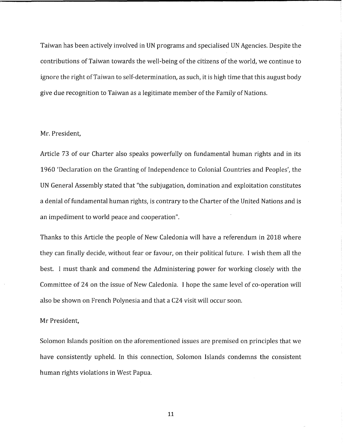Taiwan has been actively involved in UN programs and specialised UN Agencies. Despite the contributions of Taiwan towards the well-being of the citizens of the world, we continue to ignore the right of Taiwan to self-determination, as such, it is high time that this august body give due recognition to Taiwan as a legitimate member of the Family of Nations.

#### Mr. President,

Article 73 of our Charter also speaks powerfully on fundamental human rights and in its 1960 'Declaration on the Granting of Independence to Colonial Countries and Peoples', the UN General Assembly stated that "the subjugation, domination and exploitation constitutes a denial of fundamental human rights, is contrary to the Charter of the United Nations and is an impediment to world peace and cooperation".

Thanks to this Article the people of New Caledonia will have a referendum in 2018 where they can finally decide, without fear or favour, on their political future. I wish them all the best. I must thank and commend the Administering power for working closely with the Committee of 24 on the issue of New Caledonia. I hope the same level of co-operation will also be shown on French Polynesia and that a C24 visit will occur soon.

#### Mr President,

Solomon Islands position on the aforementioned issues are premised on principles that we have consistently upheld. In this connection, Solomon Islands condemns the consistent human rights violations in West Papua.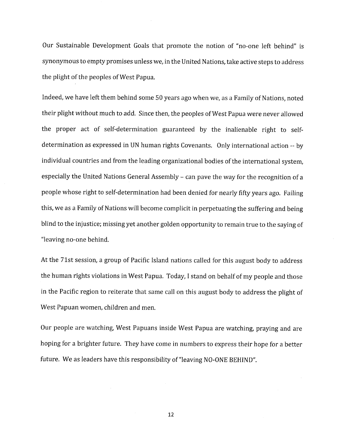Our Sustainable Development Goals that promote the notion of "no-one left behind" is synonymous to empty promises unless we, in the United Nations, take active steps to address the plight of the peoples of West Papua.

Indeed, we have left them behind some 50 years ago when we, as a Family of Nations, noted their plight without much to add. Since then, the peoples of West Papua were never allowed the proper act of self-determination guaranteed by the inalienable right to selfdetermination as expressed in UN human rights Covenants. Only international action -- by individual countries and from the leading organizational bodies of the international system, especially the United Nations General Assembly - can pave the way for the recognition of a people whose right to self-determination had been denied for nearly fifty years ago. Failing this, we as a Family of Nations will become complicit in perpetuating the suffering and being blind to the injustice; missing yet another golden opportunity to remain true to the saying of "leaving no-one behind.

At the 71st session, a group of Pacific Island nations called for this august body to address the human rights violations in West Papua. Today, I stand on behalf of my people and those in the Pacific region to reiterate that same call on this august body to address the plight of West Papuan women, children and men.

Our people are watching, West Papuans inside West Papua are watching, praying and are hoping for a brighter future. They have come in numbers to express their hope for a better future. We as leaders have this responsibility of "leaving NO-ONE BEHIND".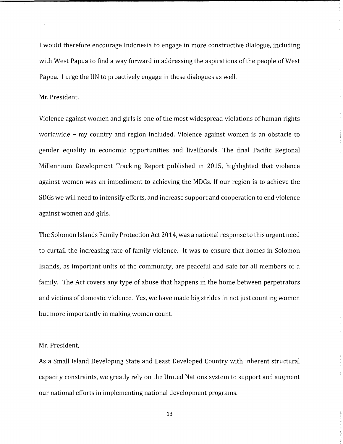I would therefore encourage Indonesia to engage in more constructive dialogue, including with West Papua to find a way forward in addressing the aspirations of the people of West Papua. I urge the UN to proactively engage in these dialogues as well.

#### Mr. President,

Violence against women and girls is one of the most widespread violations of human rights worldwide - my country and region included. Violence against women is an obstacle to gender equality in economic opportunities and livelihoods. The final Pacific Regional Millennium Development Tracking Report published in 2015, highlighted that violence against women was an impediment to achieving the MDGs. If our region is to achieve the SDGs we will need to intensify efforts, and increase support and cooperation to end violence against women and girls.

The Solomon Islands Family Protection Act 2014, was a national response to this urgent need to curtail the increasing rate of family violence. It was to ensure that homes in Solomon Islands, as important units of the community, are peaceful and safe for all members of a family. The Act covers any type of abuse that happens in the home between perpetrators and victims of domestic violence. Yes, we have made big strides in not just counting women but more importantly in making women count.

#### Mr. President,

As a Small Island Developing State and Least Developed Country with inherent structural capacity constraints, we greatly rely on the United Nations system to support and augment our national efforts in implementing national development programs.